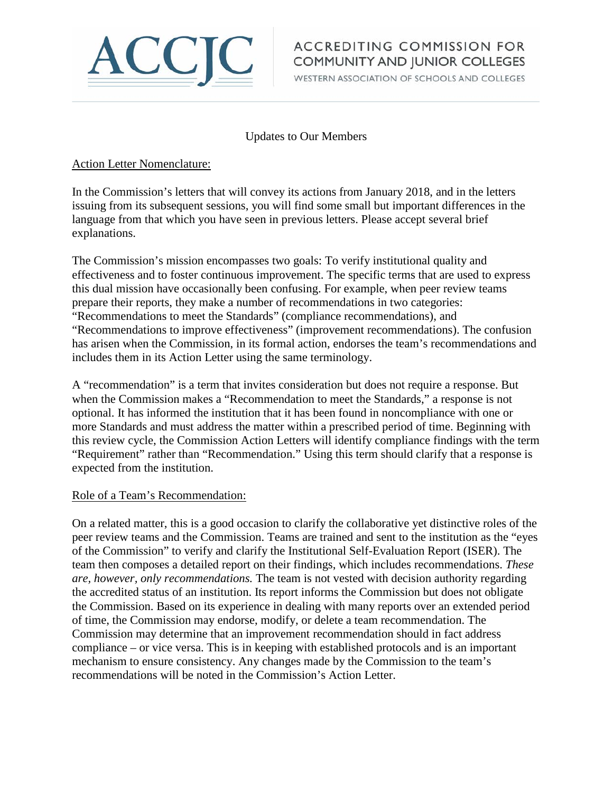

# **ACCREDITING COMMISSION FOR** COMMUNITY AND JUNIOR COLLEGES

WESTERN ASSOCIATION OF SCHOOLS AND COLLEGES

## Updates to Our Members

## Action Letter Nomenclature:

In the Commission's letters that will convey its actions from January 2018, and in the letters issuing from its subsequent sessions, you will find some small but important differences in the language from that which you have seen in previous letters. Please accept several brief explanations.

The Commission's mission encompasses two goals: To verify institutional quality and effectiveness and to foster continuous improvement. The specific terms that are used to express this dual mission have occasionally been confusing. For example, when peer review teams prepare their reports, they make a number of recommendations in two categories: "Recommendations to meet the Standards" (compliance recommendations), and "Recommendations to improve effectiveness" (improvement recommendations). The confusion has arisen when the Commission, in its formal action, endorses the team's recommendations and includes them in its Action Letter using the same terminology.

A "recommendation" is a term that invites consideration but does not require a response. But when the Commission makes a "Recommendation to meet the Standards," a response is not optional. It has informed the institution that it has been found in noncompliance with one or more Standards and must address the matter within a prescribed period of time. Beginning with this review cycle, the Commission Action Letters will identify compliance findings with the term "Requirement" rather than "Recommendation." Using this term should clarify that a response is expected from the institution.

#### Role of a Team's Recommendation:

On a related matter, this is a good occasion to clarify the collaborative yet distinctive roles of the peer review teams and the Commission. Teams are trained and sent to the institution as the "eyes of the Commission" to verify and clarify the Institutional Self-Evaluation Report (ISER). The team then composes a detailed report on their findings, which includes recommendations. *These are, however, only recommendations.* The team is not vested with decision authority regarding the accredited status of an institution. Its report informs the Commission but does not obligate the Commission. Based on its experience in dealing with many reports over an extended period of time, the Commission may endorse, modify, or delete a team recommendation. The Commission may determine that an improvement recommendation should in fact address compliance – or vice versa. This is in keeping with established protocols and is an important mechanism to ensure consistency. Any changes made by the Commission to the team's recommendations will be noted in the Commission's Action Letter.